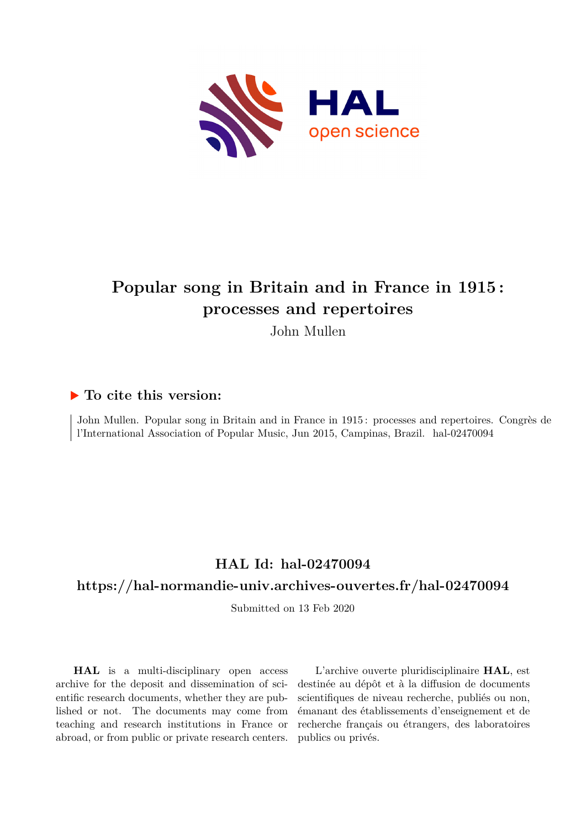

## **Popular song in Britain and in France in 1915 : processes and repertoires**

John Mullen

#### **To cite this version:**

John Mullen. Popular song in Britain and in France in 1915 : processes and repertoires. Congrès de l'International Association of Popular Music, Jun 2015, Campinas, Brazil. hal-02470094

## **HAL Id: hal-02470094**

#### **<https://hal-normandie-univ.archives-ouvertes.fr/hal-02470094>**

Submitted on 13 Feb 2020

**HAL** is a multi-disciplinary open access archive for the deposit and dissemination of scientific research documents, whether they are published or not. The documents may come from teaching and research institutions in France or abroad, or from public or private research centers.

L'archive ouverte pluridisciplinaire **HAL**, est destinée au dépôt et à la diffusion de documents scientifiques de niveau recherche, publiés ou non, émanant des établissements d'enseignement et de recherche français ou étrangers, des laboratoires publics ou privés.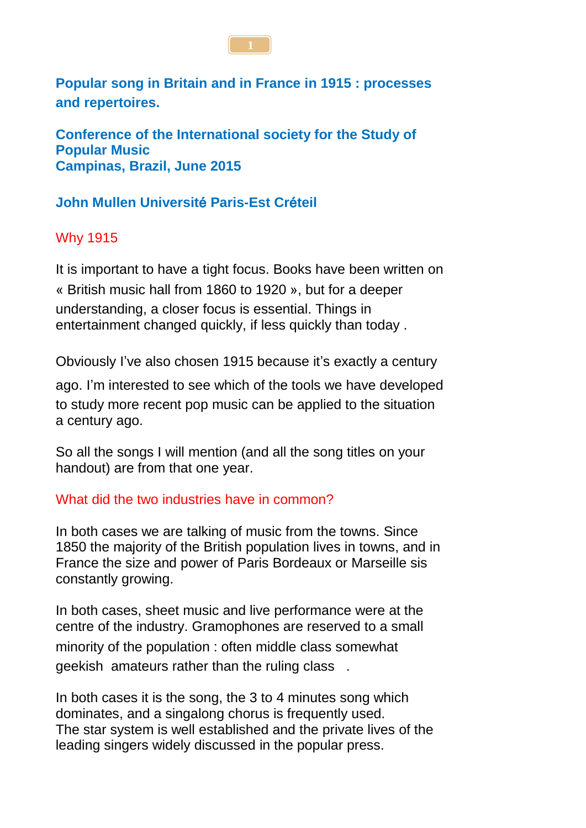

**Popular song in Britain and in France in 1915 : processes and repertoires.**

**Conference of the International society for the Study of Popular Music Campinas, Brazil, June 2015**

## **John Mullen Universit**é **Paris-Est Cr**é**teil**

## Why 1915

It is important to have a tight focus. Books have been written on « British music hall from 1860 to 1920 », but for a deeper understanding, a closer focus is essential. Things in entertainment changed quickly, if less quickly than today .

Obviously I've also chosen 1915 because it's exactly a century

ago. I'm interested to see which of the tools we have developed to study more recent pop music can be applied to the situation a century ago.

So all the songs I will mention (and all the song titles on your handout) are from that one year.

### What did the two industries have in common?

In both cases we are talking of music from the towns. Since 1850 the majority of the British population lives in towns, and in France the size and power of Paris Bordeaux or Marseille sis constantly growing.

In both cases, sheet music and live performance were at the centre of the industry. Gramophones are reserved to a small minority of the population : often middle class somewhat geekish amateurs rather than the ruling class .

In both cases it is the song, the 3 to 4 minutes song which dominates, and a singalong chorus is frequently used. The star system is well established and the private lives of the leading singers widely discussed in the popular press.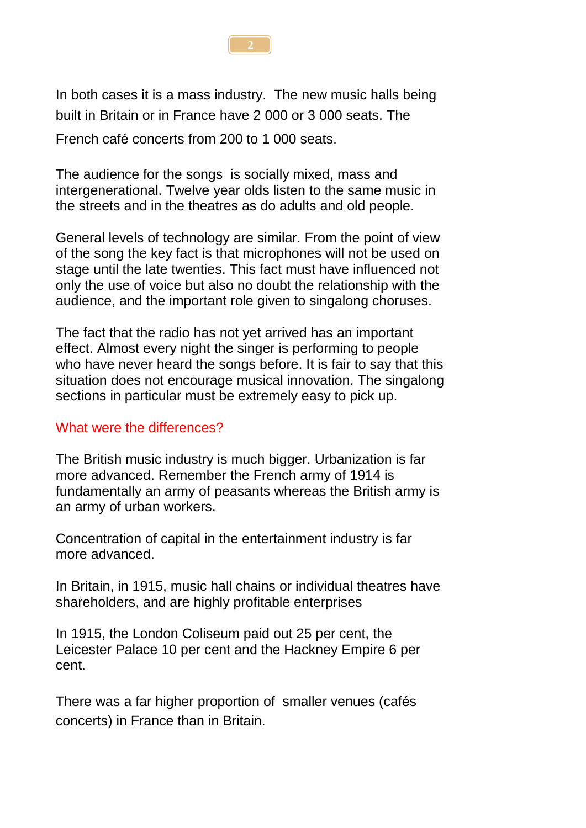

In both cases it is a mass industry. The new music halls being built in Britain or in France have 2 000 or 3 000 seats. The

French café concerts from 200 to 1 000 seats.

The audience for the songs is socially mixed, mass and intergenerational. Twelve year olds listen to the same music in the streets and in the theatres as do adults and old people.

General levels of technology are similar. From the point of view of the song the key fact is that microphones will not be used on stage until the late twenties. This fact must have influenced not only the use of voice but also no doubt the relationship with the audience, and the important role given to singalong choruses.

The fact that the radio has not yet arrived has an important effect. Almost every night the singer is performing to people who have never heard the songs before. It is fair to say that this situation does not encourage musical innovation. The singalong sections in particular must be extremely easy to pick up.

#### What were the differences?

The British music industry is much bigger. Urbanization is far more advanced. Remember the French army of 1914 is fundamentally an army of peasants whereas the British army is an army of urban workers.

Concentration of capital in the entertainment industry is far more advanced.

In Britain, in 1915, music hall chains or individual theatres have shareholders, and are highly profitable enterprises

In 1915, the London Coliseum paid out 25 per cent, the Leicester Palace 10 per cent and the Hackney Empire 6 per cent.

There was a far higher proportion of smaller venues (cafés concerts) in France than in Britain.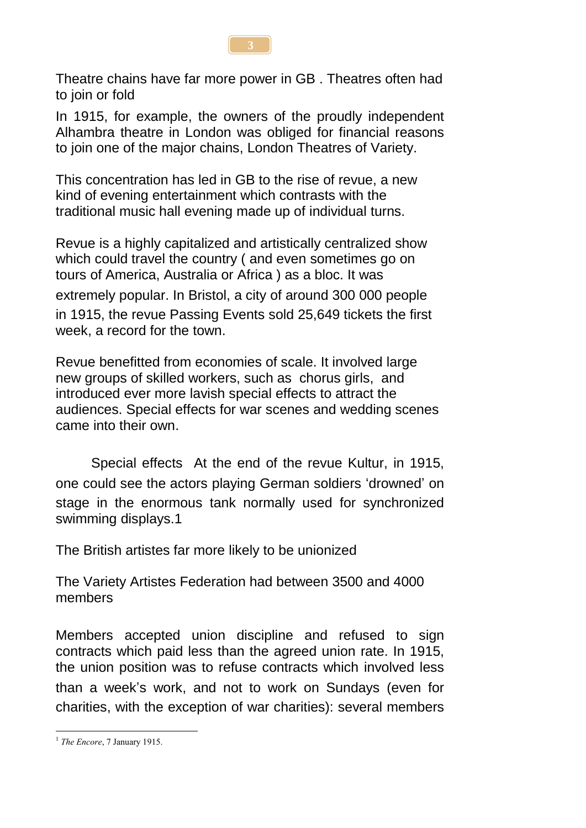

Theatre chains have far more power in GB . Theatres often had to join or fold

In 1915, for example, the owners of the proudly independent Alhambra theatre in London was obliged for financial reasons to join one of the major chains, London Theatres of Variety.

This concentration has led in GB to the rise of revue, a new kind of evening entertainment which contrasts with the traditional music hall evening made up of individual turns.

Revue is a highly capitalized and artistically centralized show which could travel the country ( and even sometimes go on tours of America, Australia or Africa ) as a bloc. It was extremely popular. In Bristol, a city of around 300 000 people in 1915, the revue Passing Events sold 25,649 tickets the first week, a record for the town.

Revue benefitted from economies of scale. It involved large new groups of skilled workers, such as chorus girls, and introduced ever more lavish special effects to attract the audiences. Special effects for war scenes and wedding scenes came into their own.

Special effects At the end of the revue Kultur, in 1915, one could see the actors playing German soldiers 'drowned' on stage in the enormous tank normally used for synchronized swimming displays.1

The British artistes far more likely to be unionized

The Variety Artistes Federation had between 3500 and 4000 members

Members accepted union discipline and refused to sign contracts which paid less than the agreed union rate. In 1915, the union position was to refuse contracts which involved less than a week's work, and not to work on Sundays (even for charities, with the exception of war charities): several members

<sup>&</sup>lt;u>.</u> <sup>1</sup> The Encore, 7 January 1915.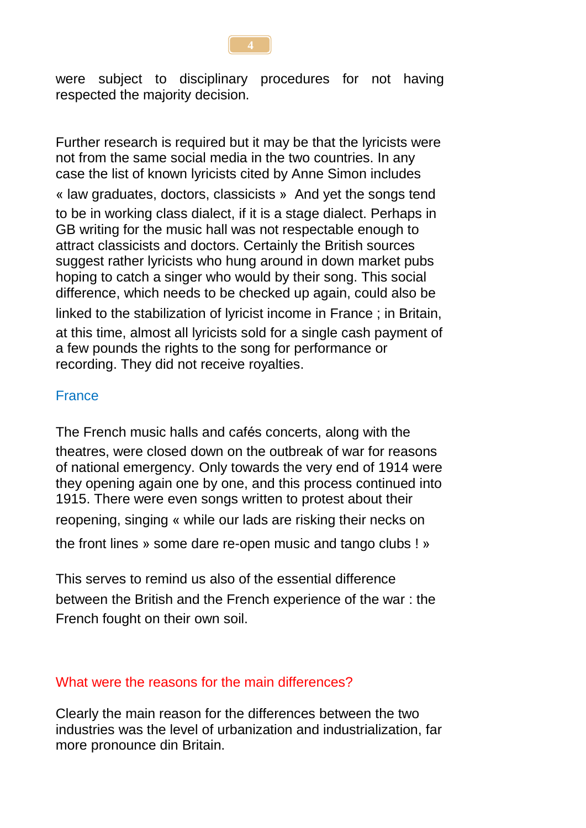were subject to disciplinary procedures for not having respected the majority decision.

Further research is required but it may be that the lyricists were not from the same social media in the two countries. In any case the list of known lyricists cited by Anne Simon includes « law graduates, doctors, classicists » And yet the songs tend to be in working class dialect, if it is a stage dialect. Perhaps in GB writing for the music hall was not respectable enough to attract classicists and doctors. Certainly the British sources suggest rather lyricists who hung around in down market pubs hoping to catch a singer who would by their song. This social difference, which needs to be checked up again, could also be linked to the stabilization of lyricist income in France ; in Britain, at this time, almost all lyricists sold for a single cash payment of a few pounds the rights to the song for performance or recording. They did not receive royalties.

### **France**

The French music halls and cafés concerts, along with the theatres, were closed down on the outbreak of war for reasons of national emergency. Only towards the very end of 1914 were they opening again one by one, and this process continued into 1915. There were even songs written to protest about their

reopening, singing « while our lads are risking their necks on

the front lines » some dare re-open music and tango clubs ! »

This serves to remind us also of the essential difference between the British and the French experience of the war : the French fought on their own soil.

### What were the reasons for the main differences?

Clearly the main reason for the differences between the two industries was the level of urbanization and industrialization, far more pronounce din Britain.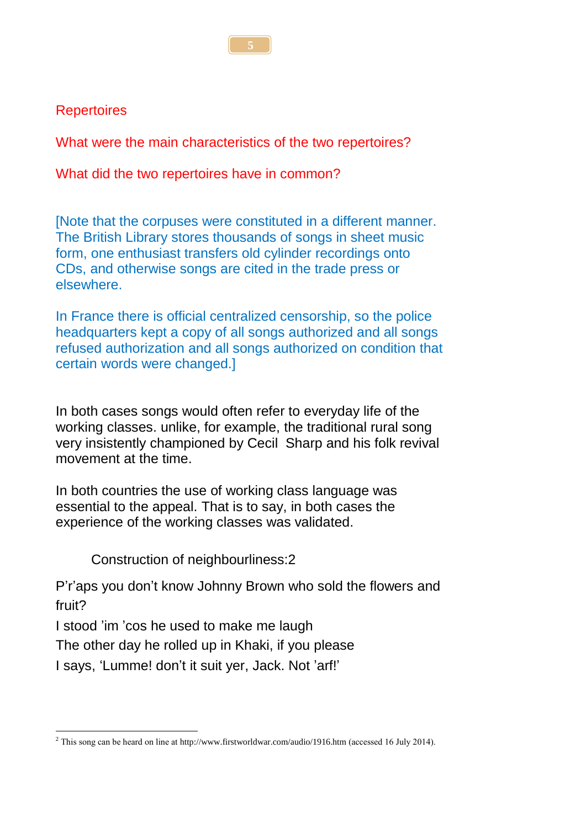#### **Repertoires**

What were the main characteristics of the two repertoires?

What did the two repertoires have in common?

[Note that the corpuses were constituted in a different manner. The British Library stores thousands of songs in sheet music form, one enthusiast transfers old cylinder recordings onto CDs, and otherwise songs are cited in the trade press or elsewhere.

In France there is official centralized censorship, so the police headquarters kept a copy of all songs authorized and all songs refused authorization and all songs authorized on condition that certain words were changed.]

In both cases songs would often refer to everyday life of the working classes. unlike, for example, the traditional rural song very insistently championed by Cecil Sharp and his folk revival movement at the time.

In both countries the use of working class language was essential to the appeal. That is to say, in both cases the experience of the working classes was validated.

Construction of neighbourliness:2

P'r'aps you don't know Johnny Brown who sold the flowers and fruit?

I stood 'im 'cos he used to make me laugh

The other day he rolled up in Khaki, if you please

I says, 'Lumme! don't it suit yer, Jack. Not 'arf!'

<sup>&</sup>lt;u>.</u> <sup>2</sup> This song can be heard on line at http://www.firstworldwar.com/audio/1916.htm (accessed 16 July 2014).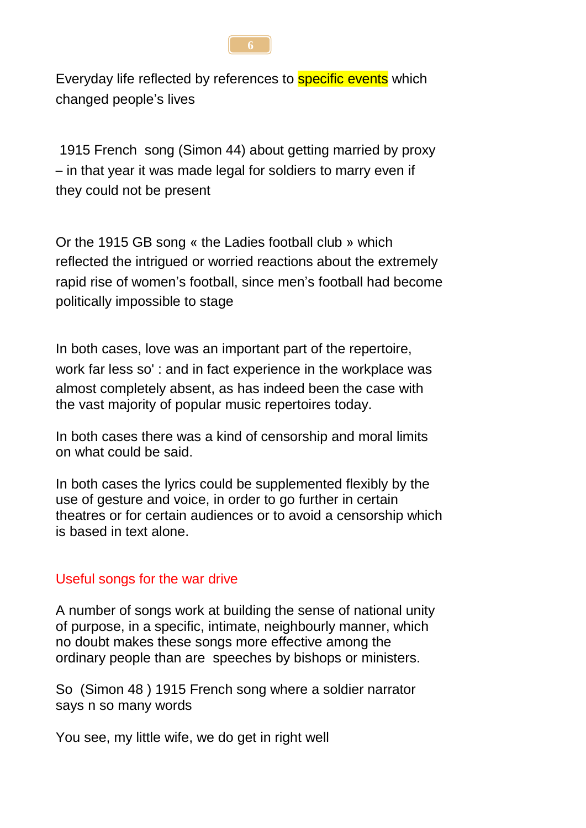

Everyday life reflected by references to **specific events** which changed people's lives

1915 French song (Simon 44) about getting married by proxy – in that year it was made legal for soldiers to marry even if they could not be present

Or the 1915 GB song « the Ladies football club » which reflected the intrigued or worried reactions about the extremely rapid rise of women's football, since men's football had become politically impossible to stage

In both cases, love was an important part of the repertoire, work far less so' : and in fact experience in the workplace was almost completely absent, as has indeed been the case with the vast majority of popular music repertoires today.

In both cases there was a kind of censorship and moral limits on what could be said.

In both cases the lyrics could be supplemented flexibly by the use of gesture and voice, in order to go further in certain theatres or for certain audiences or to avoid a censorship which is based in text alone.

#### Useful songs for the war drive

A number of songs work at building the sense of national unity of purpose, in a specific, intimate, neighbourly manner, which no doubt makes these songs more effective among the ordinary people than are speeches by bishops or ministers.

So (Simon 48 ) 1915 French song where a soldier narrator says n so many words

You see, my little wife, we do get in right well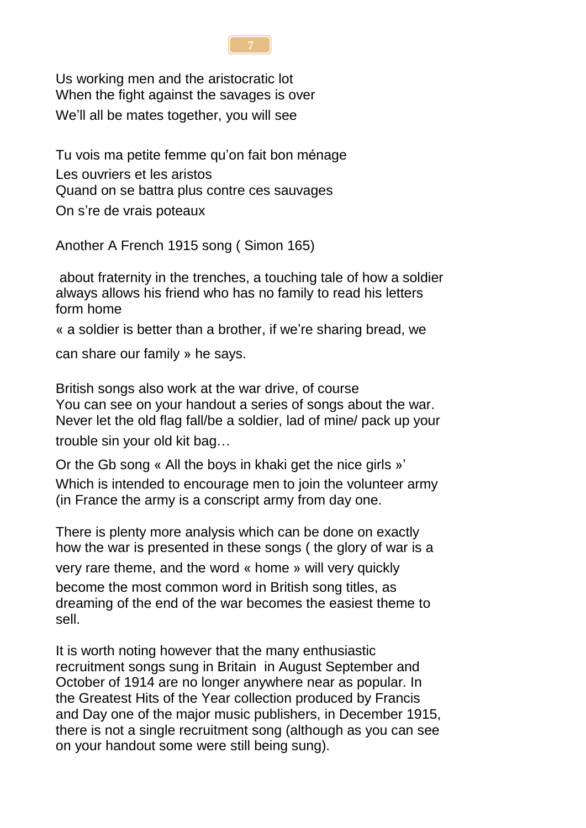

Us working men and the aristocratic lot When the fight against the savages is over We'll all be mates together, you will see

Tu vois ma petite femme qu'on fait bon ménage Les ouvriers et les aristos Quand on se battra plus contre ces sauvages

On s're de vrais poteaux

Another A French 1915 song ( Simon 165)

about fraternity in the trenches, a touching tale of how a soldier always allows his friend who has no family to read his letters form home

« a soldier is better than a brother, if we're sharing bread, we

can share our family » he says.

British songs also work at the war drive, of course You can see on your handout a series of songs about the war. Never let the old flag fall/be a soldier, lad of mine/ pack up your trouble sin your old kit bag…

Or the Gb song « All the boys in khaki get the nice girls »' Which is intended to encourage men to join the volunteer army (in France the army is a conscript army from day one.

There is plenty more analysis which can be done on exactly how the war is presented in these songs ( the glory of war is a

very rare theme, and the word « home » will very quickly become the most common word in British song titles, as dreaming of the end of the war becomes the easiest theme to sell.

It is worth noting however that the many enthusiastic recruitment songs sung in Britain in August September and October of 1914 are no longer anywhere near as popular. In the Greatest Hits of the Year collection produced by Francis and Day one of the major music publishers, in December 1915, there is not a single recruitment song (although as you can see on your handout some were still being sung).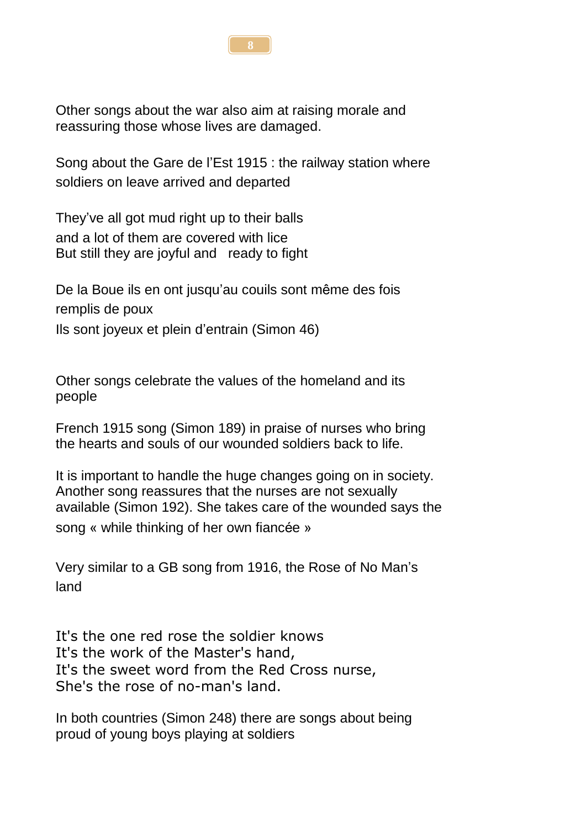

Song about the Gare de l'Est 1915 : the railway station where soldiers on leave arrived and departed

They've all got mud right up to their balls and a lot of them are covered with lice But still they are joyful and ready to fight

De la Boue ils en ont jusqu'au couils sont même des fois remplis de poux Ils sont joyeux et plein d'entrain (Simon 46)

Other songs celebrate the values of the homeland and its people

French 1915 song (Simon 189) in praise of nurses who bring the hearts and souls of our wounded soldiers back to life.

It is important to handle the huge changes going on in society. Another song reassures that the nurses are not sexually available (Simon 192). She takes care of the wounded says the song « while thinking of her own fiancée »

Very similar to a GB song from 1916, the Rose of No Man's land

It's the one red rose the soldier knows It's the work of the Master's hand, It's the sweet word from the Red Cross nurse, She's the rose of no-man's land.

In both countries (Simon 248) there are songs about being proud of young boys playing at soldiers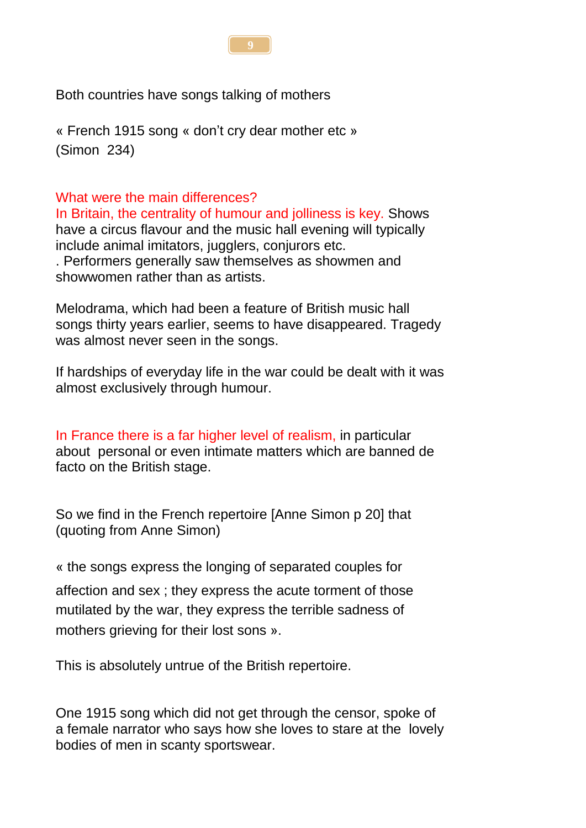

Both countries have songs talking of mothers

« French 1915 song « don't cry dear mother etc » (Simon 234)

### What were the main differences?

In Britain, the centrality of humour and jolliness is key. Shows have a circus flavour and the music hall evening will typically include animal imitators, jugglers, conjurors etc. . Performers generally saw themselves as showmen and showwomen rather than as artists.

Melodrama, which had been a feature of British music hall songs thirty years earlier, seems to have disappeared. Tragedy was almost never seen in the songs.

If hardships of everyday life in the war could be dealt with it was almost exclusively through humour.

In France there is a far higher level of realism, in particular about personal or even intimate matters which are banned de facto on the British stage.

So we find in the French repertoire [Anne Simon p 20] that (quoting from Anne Simon)

« the songs express the longing of separated couples for affection and sex ; they express the acute torment of those mutilated by the war, they express the terrible sadness of mothers grieving for their lost sons ».

This is absolutely untrue of the British repertoire.

One 1915 song which did not get through the censor, spoke of a female narrator who says how she loves to stare at the lovely bodies of men in scanty sportswear.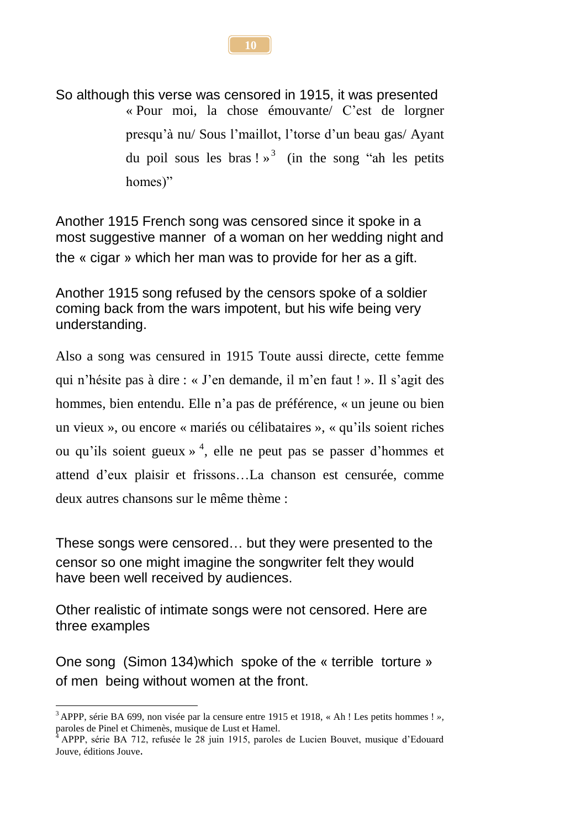So although this verse was censored in 1915, it was presented « Pour moi, la chose émouvante/ C'est de lorgner presqu'à nu/ Sous l'maillot, l'torse d'un beau gas/ Ayant du poil sous les bras !  $\frac{1}{2}$  (in the song "ah les petits homes)"

Another 1915 French song was censored since it spoke in a most suggestive manner of a woman on her wedding night and the « cigar » which her man was to provide for her as a gift.

Another 1915 song refused by the censors spoke of a soldier coming back from the wars impotent, but his wife being very understanding.

Also a song was censured in 1915 Toute aussi directe, cette femme qui n'hésite pas à dire : « J'en demande, il m'en faut ! ». Il s'agit des hommes, bien entendu. Elle n'a pas de préférence, « un jeune ou bien un vieux », ou encore « mariés ou célibataires », « qu'ils soient riches ou qu'ils soient gueux » 4 , elle ne peut pas se passer d'hommes et attend d'eux plaisir et frissons…La chanson est censurée, comme deux autres chansons sur le même thème :

These songs were censored… but they were presented to the censor so one might imagine the songwriter felt they would have been well received by audiences.

Other realistic of intimate songs were not censored. Here are three examples

One song (Simon 134)which spoke of the « terrible torture » of men being without women at the front.

1

**10**

<sup>3</sup> APPP, série BA 699, non visée par la censure entre 1915 et 1918, « Ah ! Les petits hommes ! *»,* paroles de Pinel et Chimenès, musique de Lust et Hamel.

<sup>4</sup> APPP, série BA 712, refusée le 28 juin 1915, paroles de Lucien Bouvet, musique d'Edouard Jouve, éditions Jouve.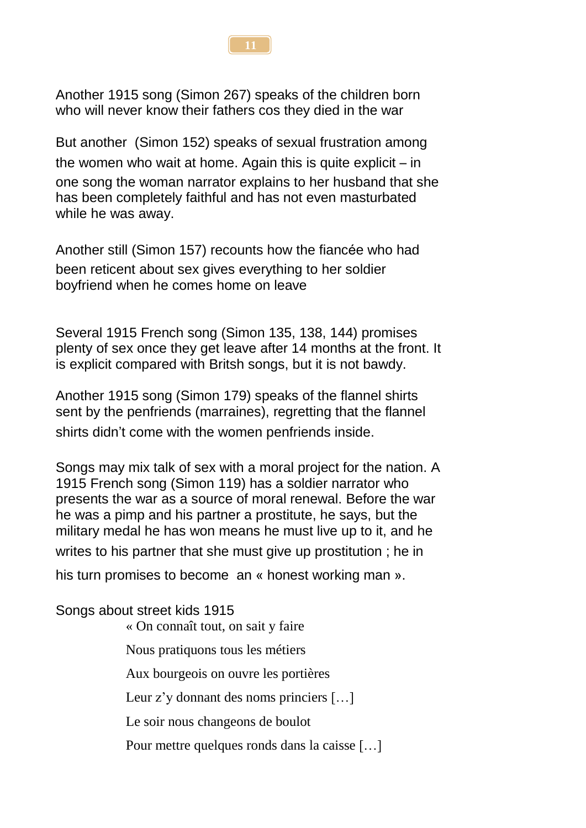

Another 1915 song (Simon 267) speaks of the children born who will never know their fathers cos they died in the war

But another (Simon 152) speaks of sexual frustration among the women who wait at home. Again this is quite explicit – in one song the woman narrator explains to her husband that she has been completely faithful and has not even masturbated while he was away.

Another still (Simon 157) recounts how the fiancée who had been reticent about sex gives everything to her soldier boyfriend when he comes home on leave

Several 1915 French song (Simon 135, 138, 144) promises plenty of sex once they get leave after 14 months at the front. It is explicit compared with Britsh songs, but it is not bawdy.

Another 1915 song (Simon 179) speaks of the flannel shirts sent by the penfriends (marraines), regretting that the flannel shirts didn't come with the women penfriends inside.

Songs may mix talk of sex with a moral project for the nation. A 1915 French song (Simon 119) has a soldier narrator who presents the war as a source of moral renewal. Before the war he was a pimp and his partner a prostitute, he says, but the military medal he has won means he must live up to it, and he

writes to his partner that she must give up prostitution ; he in

his turn promises to become an « honest working man ».

Songs about street kids 1915

« On connaît tout, on sait y faire

Nous pratiquons tous les métiers

Aux bourgeois on ouvre les portières

Leur z'y donnant des noms princiers […]

Le soir nous changeons de boulot

Pour mettre quelques ronds dans la caisse […]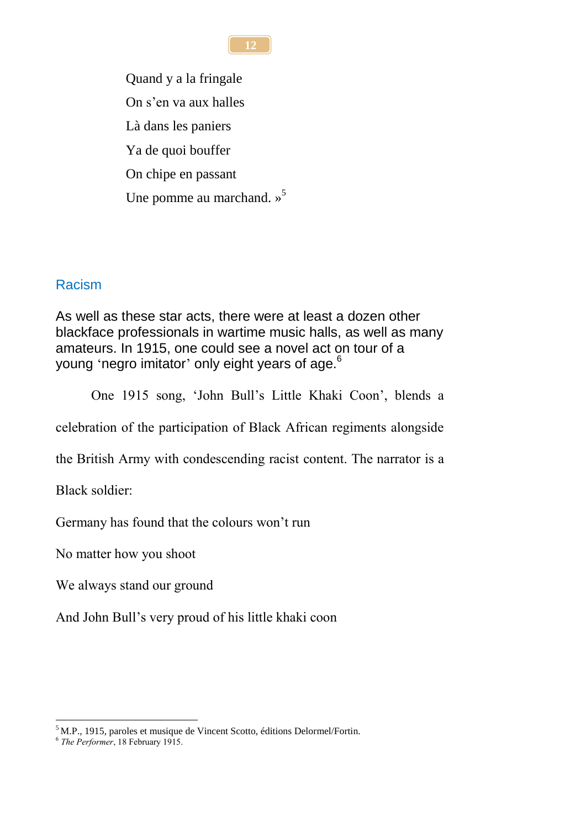Quand y a la fringale On s'en va aux halles Là dans les paniers Ya de quoi bouffer On chipe en passant Une pomme au marchand.  $\frac{1}{2}$ <sup>5</sup>

### Racism

As well as these star acts, there were at least a dozen other blackface professionals in wartime music halls, as well as many amateurs. In 1915, one could see a novel act on tour of a young 'negro imitator' only eight years of age.<sup>6</sup>

One 1915 song, 'John Bull's Little Khaki Coon', blends a

celebration of the participation of Black African regiments alongside

the British Army with condescending racist content. The narrator is a

Black soldier:

Germany has found that the colours won't run

No matter how you shoot

We always stand our ground

And John Bull's very proud of his little khaki coon

1 <sup>5</sup> M.P., 1915, paroles et musique de Vincent Scotto, éditions Delormel/Fortin.

**12**

<sup>6</sup> *The Performer*, 18 February 1915.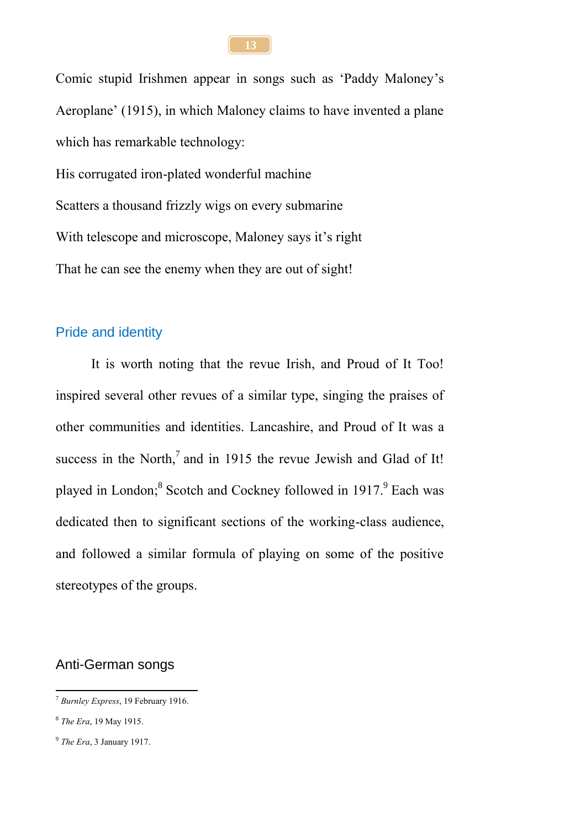Comic stupid Irishmen appear in songs such as 'Paddy Maloney's Aeroplane' (1915), in which Maloney claims to have invented a plane which has remarkable technology: His corrugated iron-plated wonderful machine Scatters a thousand frizzly wigs on every submarine With telescope and microscope, Maloney says it's right That he can see the enemy when they are out of sight!

#### Pride and identity

It is worth noting that the revue Irish, and Proud of It Too! inspired several other revues of a similar type, singing the praises of other communities and identities. Lancashire, and Proud of It was a success in the North,<sup>7</sup> and in 1915 the revue Jewish and Glad of It! played in London;<sup>8</sup> Scotch and Cockney followed in 1917.<sup>9</sup> Each was dedicated then to significant sections of the working-class audience, and followed a similar formula of playing on some of the positive stereotypes of the groups.

#### Anti-German songs

**13**

<sup>1</sup> <sup>7</sup> *Burnley Express*, 19 February 1916.

<sup>8</sup> *The Era*, 19 May 1915.

<sup>9</sup> *The Era*, 3 January 1917.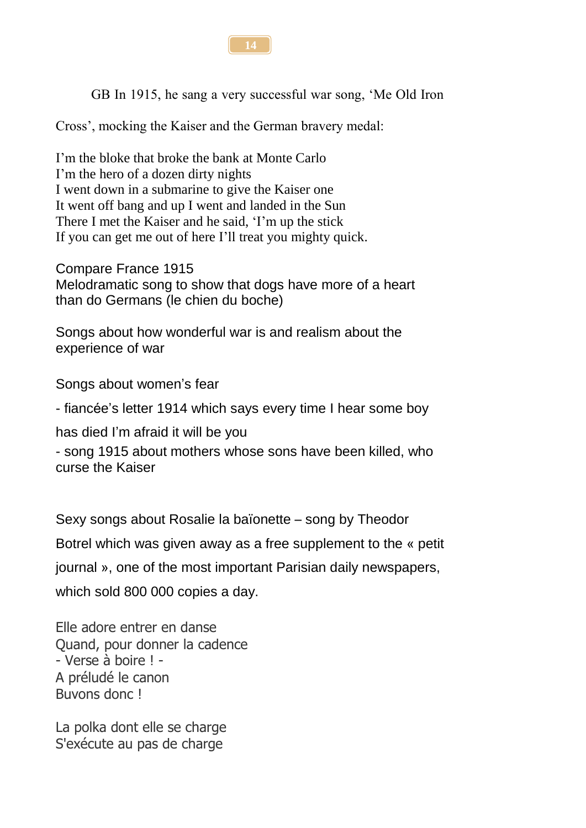

GB In 1915, he sang a very successful war song, 'Me Old Iron

Cross', mocking the Kaiser and the German bravery medal:

I'm the bloke that broke the bank at Monte Carlo I'm the hero of a dozen dirty nights I went down in a submarine to give the Kaiser one It went off bang and up I went and landed in the Sun There I met the Kaiser and he said, 'I'm up the stick If you can get me out of here I'll treat you mighty quick.

Compare France 1915 Melodramatic song to show that dogs have more of a heart than do Germans (le chien du boche)

Songs about how wonderful war is and realism about the experience of war

Songs about women's fear

- fiancée's letter 1914 which says every time I hear some boy

has died I'm afraid it will be you

- song 1915 about mothers whose sons have been killed, who curse the Kaiser

Sexy songs about Rosalie la baïonette – song by Theodor

Botrel which was given away as a free supplement to the « petit

journal », one of the most important Parisian daily newspapers,

which sold 800 000 copies a day.

Elle adore entrer en danse Quand, pour donner la cadence - Verse à boire ! - A préludé le canon Buvons donc !

La polka dont elle se charge S'exécute au pas de charge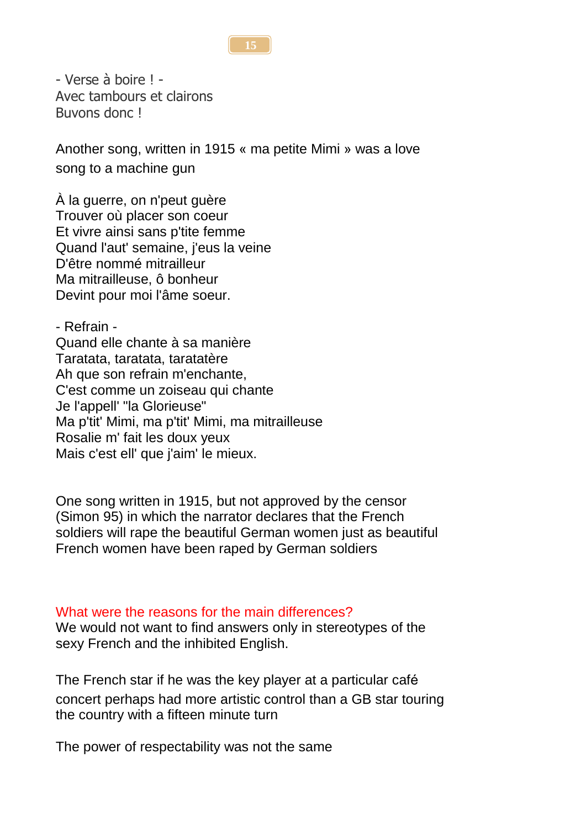#### **15**

- Verse à boire ! - Avec tambours et clairons Buvons donc !

Another song, written in 1915 « ma petite Mimi » was a love song to a machine gun

À la guerre, on n'peut guère Trouver où placer son coeur Et vivre ainsi sans p'tite femme Quand l'aut' semaine, j'eus la veine D'être nommé mitrailleur Ma mitrailleuse, ô bonheur Devint pour moi l'âme soeur.

- Refrain - Quand elle chante à sa manière Taratata, taratata, taratatère Ah que son refrain m'enchante, C'est comme un zoiseau qui chante Je l'appell' "la Glorieuse" Ma p'tit' Mimi, ma p'tit' Mimi, ma mitrailleuse Rosalie m' fait les doux yeux Mais c'est ell' que j'aim' le mieux.

One song written in 1915, but not approved by the censor (Simon 95) in which the narrator declares that the French soldiers will rape the beautiful German women just as beautiful French women have been raped by German soldiers

#### What were the reasons for the main differences?

We would not want to find answers only in stereotypes of the sexy French and the inhibited English.

The French star if he was the key player at a particular café concert perhaps had more artistic control than a GB star touring the country with a fifteen minute turn

The power of respectability was not the same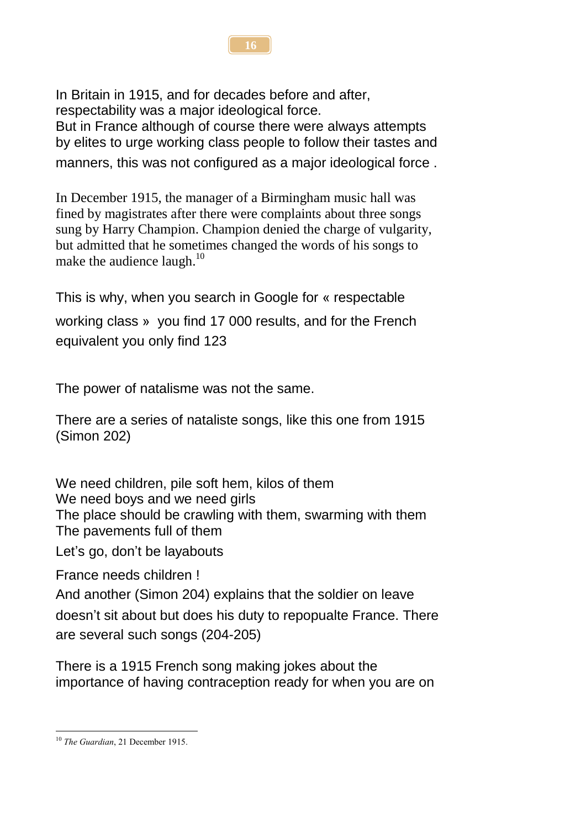In Britain in 1915, and for decades before and after, respectability was a major ideological force. But in France although of course there were always attempts by elites to urge working class people to follow their tastes and manners, this was not configured as a major ideological force .

In December 1915, the manager of a Birmingham music hall was fined by magistrates after there were complaints about three songs sung by Harry Champion. Champion denied the charge of vulgarity, but admitted that he sometimes changed the words of his songs to make the audience laugh.<sup>10</sup>

This is why, when you search in Google for « respectable working class » you find 17 000 results, and for the French equivalent you only find 123

The power of natalisme was not the same.

There are a series of nataliste songs, like this one from 1915 (Simon 202)

We need children, pile soft hem, kilos of them We need boys and we need girls The place should be crawling with them, swarming with them The pavements full of them

Let's go, don't be layabouts

France needs children !

And another (Simon 204) explains that the soldier on leave doesn't sit about but does his duty to repopualte France. There are several such songs (204-205)

There is a 1915 French song making jokes about the importance of having contraception ready for when you are on

**16**

<sup>&</sup>lt;u>.</u> <sup>10</sup> *The Guardian*, 21 December 1915.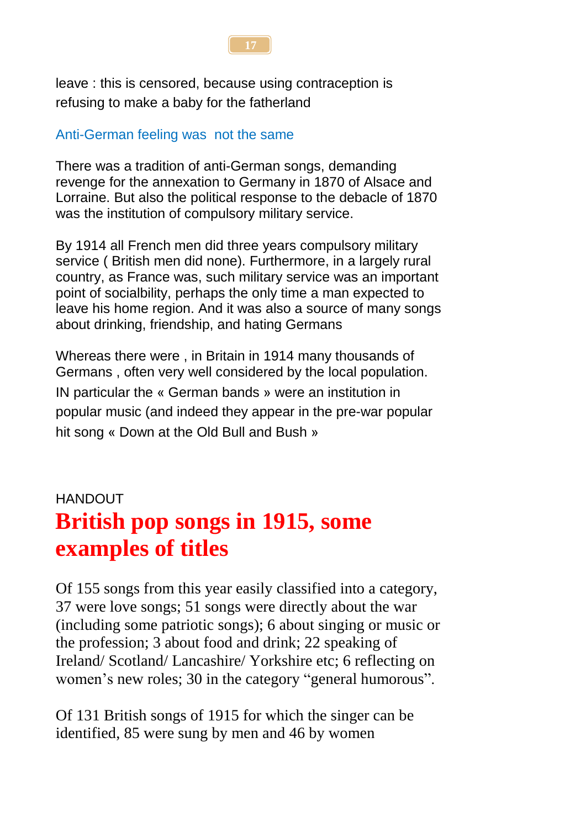

leave : this is censored, because using contraception is refusing to make a baby for the fatherland

### Anti-German feeling was not the same

There was a tradition of anti-German songs, demanding revenge for the annexation to Germany in 1870 of Alsace and Lorraine. But also the political response to the debacle of 1870 was the institution of compulsory military service.

By 1914 all French men did three years compulsory military service ( British men did none). Furthermore, in a largely rural country, as France was, such military service was an important point of socialbility, perhaps the only time a man expected to leave his home region. And it was also a source of many songs about drinking, friendship, and hating Germans

Whereas there were , in Britain in 1914 many thousands of Germans , often very well considered by the local population. IN particular the « German bands » were an institution in popular music (and indeed they appear in the pre-war popular hit song « Down at the Old Bull and Bush »

## HANDOUT **British pop songs in 1915, some examples of titles**

Of 155 songs from this year easily classified into a category, 37 were love songs; 51 songs were directly about the war (including some patriotic songs); 6 about singing or music or the profession; 3 about food and drink; 22 speaking of Ireland/ Scotland/ Lancashire/ Yorkshire etc; 6 reflecting on women's new roles; 30 in the category "general humorous".

Of 131 British songs of 1915 for which the singer can be identified, 85 were sung by men and 46 by women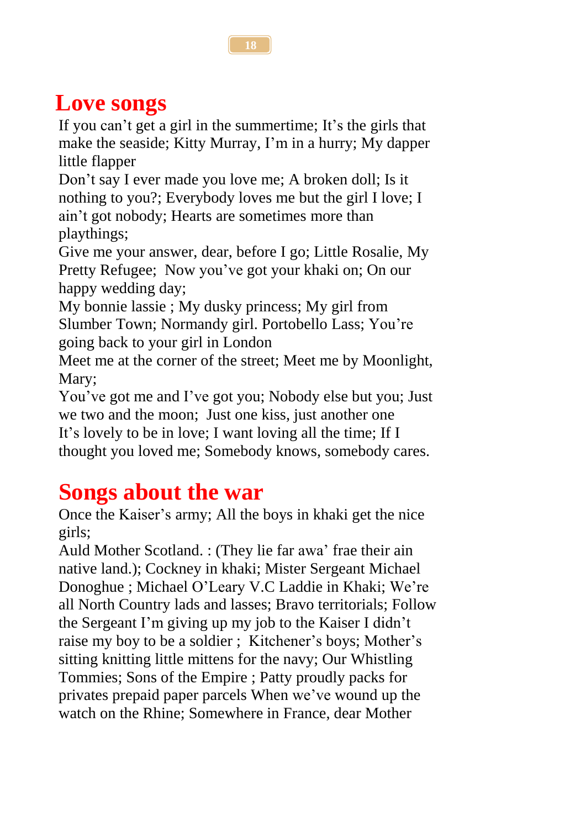## **Love songs**

If you can't get a girl in the summertime; It's the girls that make the seaside; Kitty Murray, I'm in a hurry; My dapper little flapper

Don't say I ever made you love me; A broken doll; Is it nothing to you?; Everybody loves me but the girl I love; I ain't got nobody; Hearts are sometimes more than playthings;

Give me your answer, dear, before I go; Little Rosalie, My Pretty Refugee; Now you've got your khaki on; On our happy wedding day;

My bonnie lassie ; My dusky princess; My girl from Slumber Town; Normandy girl. Portobello Lass; You're going back to your girl in London

Meet me at the corner of the street; Meet me by Moonlight, Mary;

You've got me and I've got you; Nobody else but you; Just we two and the moon; Just one kiss, just another one It's lovely to be in love; I want loving all the time; If I thought you loved me; Somebody knows, somebody cares.

## **Songs about the war**

Once the Kaiser's army; All the boys in khaki get the nice girls;

Auld Mother Scotland. : (They lie far awa' frae their ain native land.); Cockney in khaki; Mister Sergeant Michael Donoghue ; Michael O'Leary V.C Laddie in Khaki; We're all North Country lads and lasses; Bravo territorials; Follow the Sergeant I'm giving up my job to the Kaiser I didn't raise my boy to be a soldier ; Kitchener's boys; Mother's sitting knitting little mittens for the navy; Our Whistling Tommies; Sons of the Empire ; Patty proudly packs for privates prepaid paper parcels When we've wound up the watch on the Rhine; Somewhere in France, dear Mother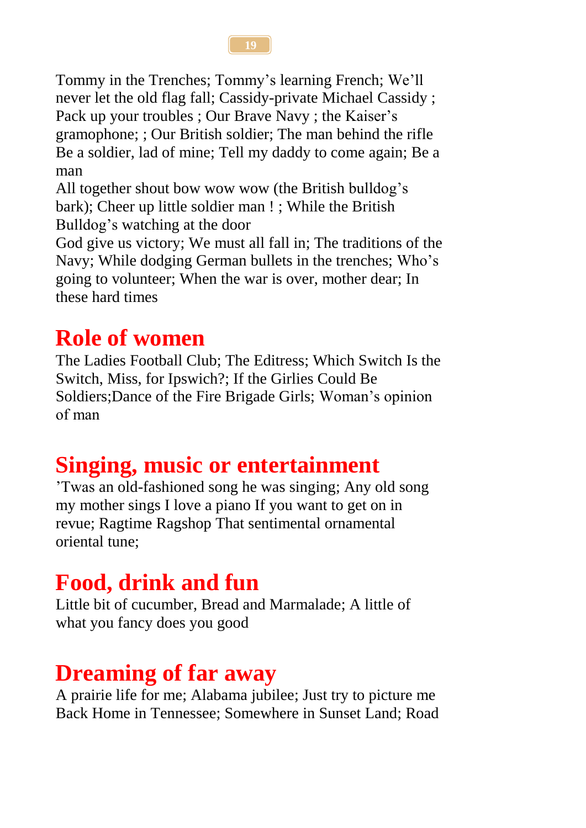Tommy in the Trenches; Tommy's learning French; We'll never let the old flag fall; Cassidy-private Michael Cassidy ; Pack up your troubles ; Our Brave Navy ; the Kaiser's gramophone; ; Our British soldier; The man behind the rifle Be a soldier, lad of mine; Tell my daddy to come again; Be a man

All together shout bow wow wow (the British bulldog's bark); Cheer up little soldier man ! ; While the British Bulldog's watching at the door

God give us victory; We must all fall in; The traditions of the Navy; While dodging German bullets in the trenches; Who's going to volunteer; When the war is over, mother dear; In these hard times

## **Role of women**

The Ladies Football Club; The Editress; Which Switch Is the Switch, Miss, for Ipswich?; If the Girlies Could Be Soldiers;Dance of the Fire Brigade Girls; Woman's opinion of man

# **Singing, music or entertainment**

'Twas an old-fashioned song he was singing; Any old song my mother sings I love a piano If you want to get on in revue; Ragtime Ragshop That sentimental ornamental oriental tune;

## **Food, drink and fun**

Little bit of cucumber, Bread and Marmalade; A little of what you fancy does you good

## **Dreaming of far away**

A prairie life for me; Alabama jubilee; Just try to picture me Back Home in Tennessee; Somewhere in Sunset Land; Road